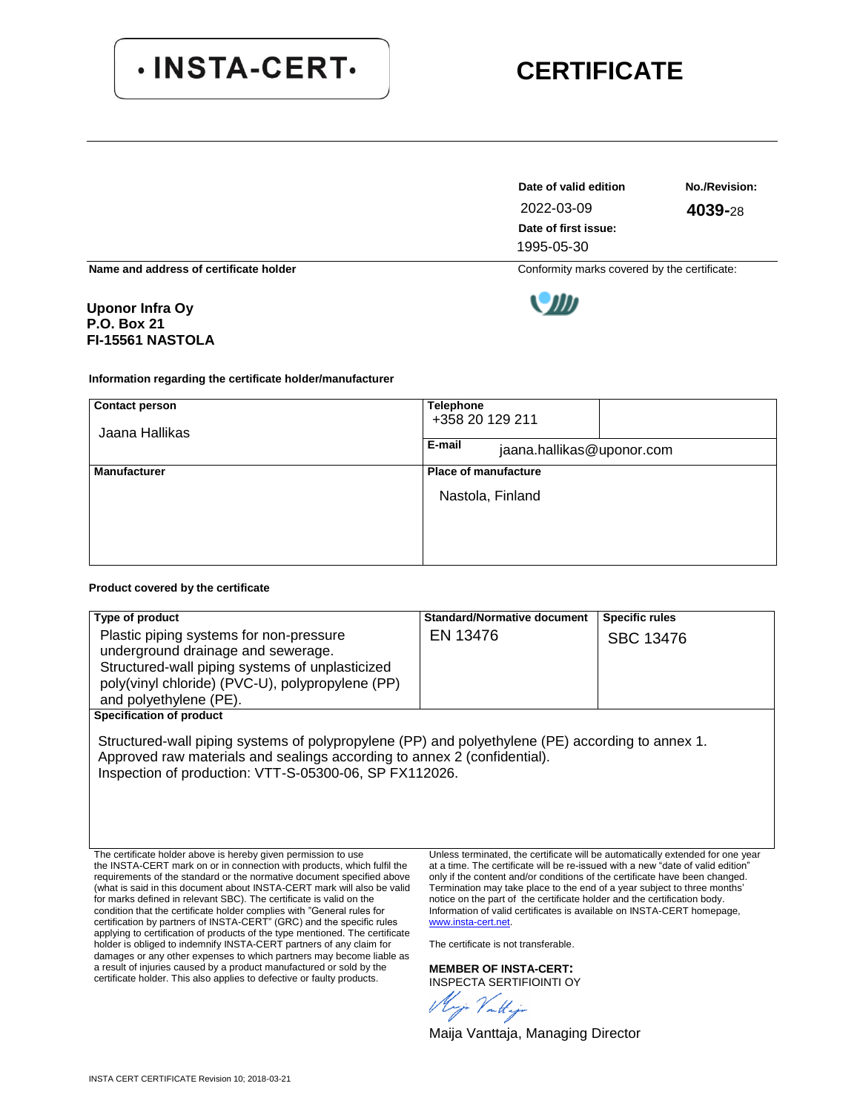# **CERTIFICATE**

**Date of valid edition No./Revision: Date of first issue:** 2022-03-09 **4039-**28 1995-05-30

Name and address of certificate holder **Conformity marks covered by the certificate**:

### **Uponor Infra Oy P.O. Box 21 FI-15561 NASTOLA**

#### **Information regarding the certificate holder/manufacturer**

| <b>Contact person</b><br>Jaana Hallikas | <b>Telephone</b><br>+358 20 129 211<br>E-mail<br>jaana.hallikas@uponor.com |
|-----------------------------------------|----------------------------------------------------------------------------|
| <b>Manufacturer</b>                     | <b>Place of manufacture</b><br>Nastola, Finland                            |

#### **Product covered by the certificate**

| Type of product<br>Plastic piping systems for non-pressure<br>underground drainage and sewerage.<br>Structured-wall piping systems of unplasticized<br>poly(vinyl chloride) (PVC-U), polypropylene (PP)<br>and polyethylene (PE). | <b>Standard/Normative document</b><br>EN 13476 | <b>Specific rules</b><br>SBC 13476 |
|-----------------------------------------------------------------------------------------------------------------------------------------------------------------------------------------------------------------------------------|------------------------------------------------|------------------------------------|
| <b>Specification of product</b>                                                                                                                                                                                                   |                                                |                                    |

Structured-wall piping systems of polypropylene (PP) and polyethylene (PE) according to annex 1. Approved raw materials and sealings according to annex 2 (confidential). Inspection of production: VTT-S-05300-06, SP FX112026.

The certificate holder above is hereby given permission to use the INSTA-CERT mark on or in connection with products, which fulfil the requirements of the standard or the normative document specified above (what is said in this document about INSTA-CERT mark will also be valid for marks defined in relevant SBC). The certificate is valid on the condition that the certificate holder complies with "General rules for certification by partners of INSTA-CERT" (GRC) and the specific rules applying to certification of products of the type mentioned. The certificate holder is obliged to indemnify INSTA-CERT partners of any claim for damages or any other expenses to which partners may become liable as a result of injuries caused by a product manufactured or sold by the certificate holder. This also applies to defective or faulty products.

Unless terminated, the certificate will be automatically extended for one year at a time. The certificate will be re-issued with a new "date of valid edition" only if the content and/or conditions of the certificate have been changed. Termination may take place to the end of a year subject to three months' notice on the part of the certificate holder and the certification body. Information of valid certificates is available on INSTA-CERT homepage, www.insta-cert.net

The certificate is not transferable.

**MEMBER OF INSTA-CERT:** INSPECTA SERTIFIOINTI OY

Kijo Vattijs

Maija Vanttaja, Managing Director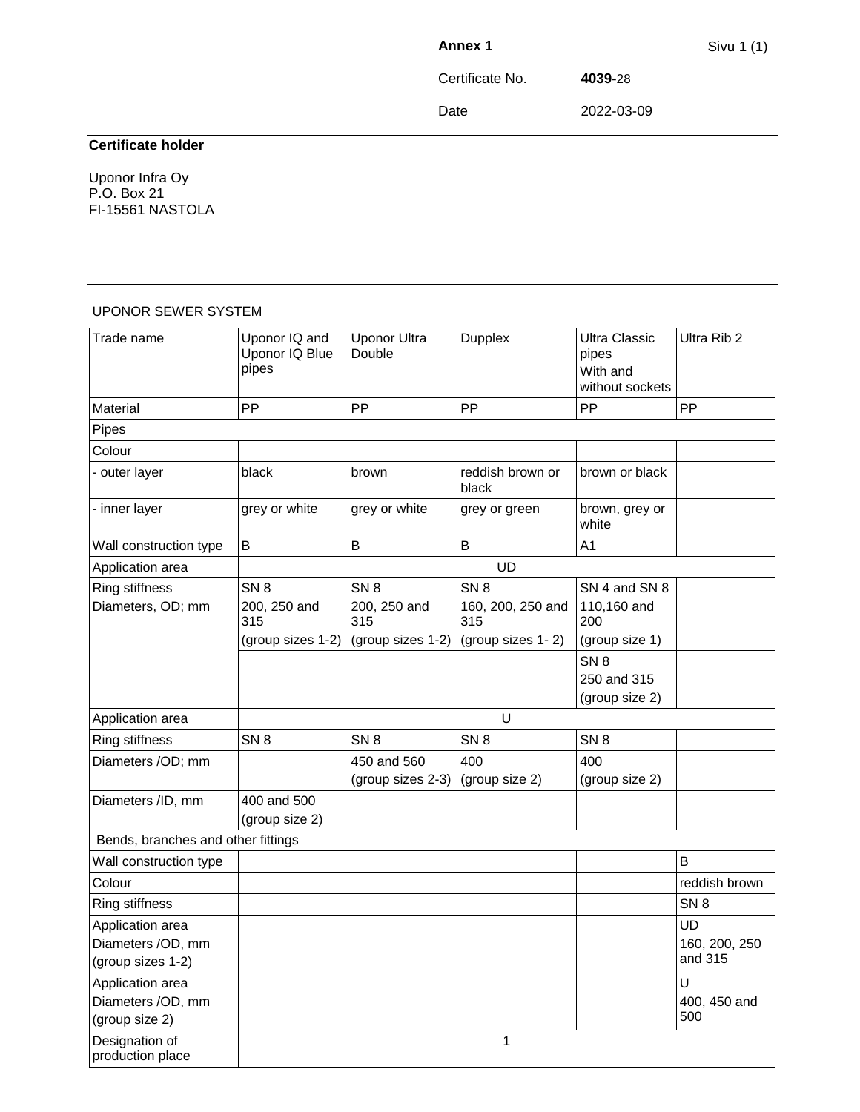**Annex 1** Sivu 1 (1)

Certificate No. **4039-**28

Date 2022-03-09

### **Certificate holder**

Uponor Infra Oy P.O. Box 21 FI-15561 NASTOLA

### UPONOR SEWER SYSTEM

| Trade name                                                 | Uponor IQ and<br>Uponor IQ Blue<br>pipes | <b>Uponor Ultra</b><br>Double | Dupplex                   | <b>Ultra Classic</b><br>pipes<br>With and<br>without sockets | Ultra Rib 2                    |
|------------------------------------------------------------|------------------------------------------|-------------------------------|---------------------------|--------------------------------------------------------------|--------------------------------|
| Material                                                   | PP                                       | PP                            | PP                        | PP                                                           | PP                             |
| Pipes                                                      |                                          |                               |                           |                                                              |                                |
| Colour                                                     |                                          |                               |                           |                                                              |                                |
| - outer layer                                              | black                                    | brown                         | reddish brown or<br>black | brown or black                                               |                                |
| - inner layer                                              | grey or white                            | grey or white                 | grey or green             | brown, grey or<br>white                                      |                                |
| Wall construction type                                     | B                                        | B                             | Β                         | A <sub>1</sub>                                               |                                |
| Application area                                           |                                          |                               | <b>UD</b>                 |                                                              |                                |
| Ring stiffness                                             | SN <sub>8</sub>                          | SN <sub>8</sub>               | SN <sub>8</sub>           | SN 4 and SN 8                                                |                                |
| Diameters, OD; mm                                          | 200, 250 and<br>315                      | 200, 250 and<br>315           | 160, 200, 250 and<br>315  | 110,160 and<br>200                                           |                                |
|                                                            | (group sizes 1-2)                        | (group sizes 1-2)             | (group sizes 1-2)         | (group size 1)                                               |                                |
|                                                            |                                          |                               |                           | SN <sub>8</sub><br>250 and 315                               |                                |
| Application area                                           |                                          |                               | U                         | (group size 2)                                               |                                |
| Ring stiffness                                             | SN <sub>8</sub>                          | SN <sub>8</sub>               | SN <sub>8</sub>           | SN <sub>8</sub>                                              |                                |
|                                                            |                                          | 450 and 560                   |                           |                                                              |                                |
| Diameters /OD; mm                                          |                                          | (group sizes 2-3)             | 400<br>(group size 2)     | 400<br>(group size 2)                                        |                                |
| Diameters /ID, mm                                          | 400 and 500<br>(group size 2)            |                               |                           |                                                              |                                |
| Bends, branches and other fittings                         |                                          |                               |                           |                                                              |                                |
| Wall construction type                                     |                                          |                               |                           |                                                              | B                              |
| Colour                                                     |                                          |                               |                           |                                                              | reddish brown                  |
| Ring stiffness                                             |                                          |                               |                           |                                                              | SN <sub>8</sub>                |
| Application area<br>Diameters /OD, mm<br>(group sizes 1-2) |                                          |                               |                           |                                                              | UD<br>160, 200, 250<br>and 315 |
| Application area<br>Diameters /OD, mm<br>(group size 2)    |                                          |                               |                           |                                                              | U<br>400, 450 and<br>500       |
| Designation of<br>production place                         |                                          |                               | 1                         |                                                              |                                |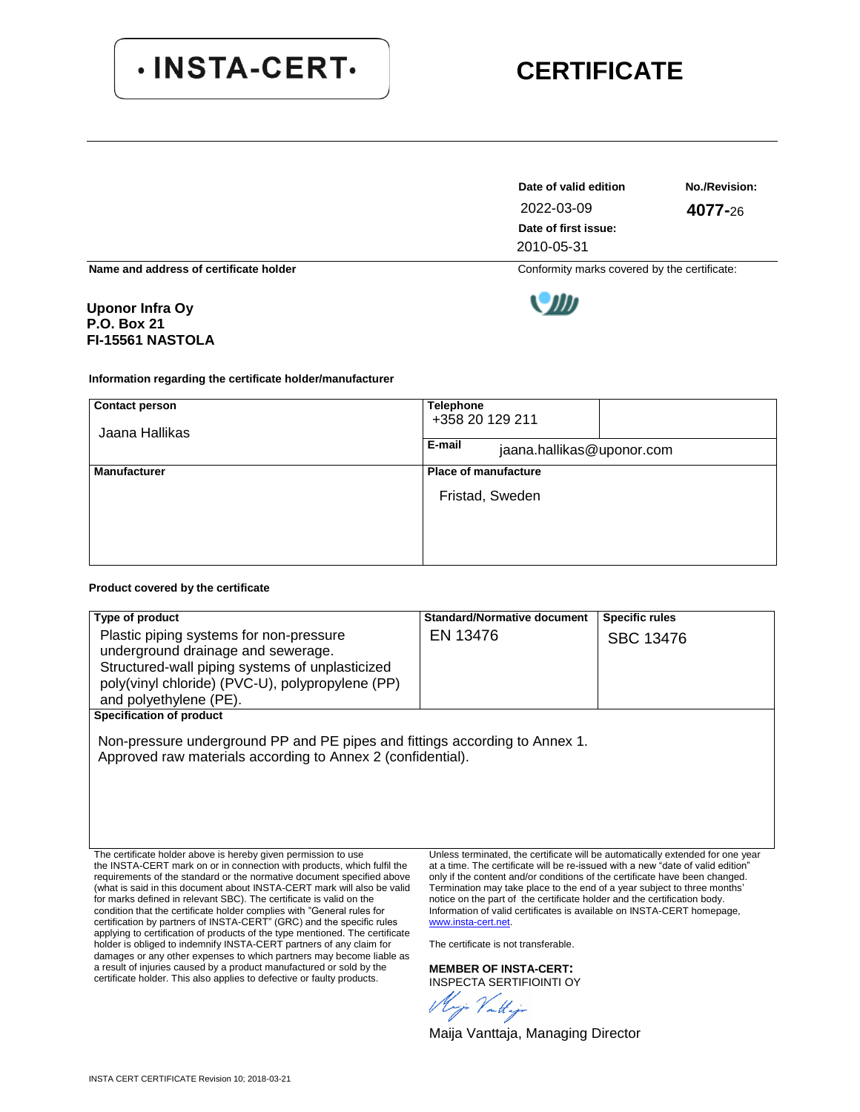# **CERTIFICATE**

**Date of valid edition No./Revision: Date of first issue:** 2022-03-09 **4077-**26 2010-05-31



**Name and address of certificate holder and address of certificate holder and address of certificate holder and conformity marks covered by the certificate:** 

### **Uponor Infra Oy P.O. Box 21 FI-15561 NASTOLA**

#### **Information regarding the certificate holder/manufacturer**

| <b>Contact person</b><br>Jaana Hallikas | <b>Telephone</b><br>+358 20 129 211<br>E-mail<br>jaana.hallikas@uponor.com |
|-----------------------------------------|----------------------------------------------------------------------------|
| <b>Manufacturer</b>                     | <b>Place of manufacture</b><br>Fristad, Sweden                             |

#### **Product covered by the certificate**

| Type of product<br>Plastic piping systems for non-pressure<br>underground drainage and sewerage.<br>Structured-wall piping systems of unplasticized<br>poly(vinyl chloride) (PVC-U), polypropylene (PP)<br>and polyethylene (PE). | <b>Standard/Normative document</b><br>EN 13476 | <b>Specific rules</b><br>SBC 13476 |  |
|-----------------------------------------------------------------------------------------------------------------------------------------------------------------------------------------------------------------------------------|------------------------------------------------|------------------------------------|--|
| <b>Specification of product</b><br>Non-pressure underground PP and PE pipes and fittings according to Annex 1.<br>Approved raw materials according to Annex 2 (confidential).                                                     |                                                |                                    |  |

The certificate holder above is hereby given permission to use the INSTA-CERT mark on or in connection with products, which fulfil the requirements of the standard or the normative document specified above (what is said in this document about INSTA-CERT mark will also be valid for marks defined in relevant SBC). The certificate is valid on the condition that the certificate holder complies with "General rules for certification by partners of INSTA-CERT" (GRC) and the specific rules applying to certification of products of the type mentioned. The certificate holder is obliged to indemnify INSTA-CERT partners of any claim for damages or any other expenses to which partners may become liable as a result of injuries caused by a product manufactured or sold by the certificate holder. This also applies to defective or faulty products.

Unless terminated, the certificate will be automatically extended for one year at a time. The certificate will be re-issued with a new "date of valid edition" only if the content and/or conditions of the certificate have been changed. Termination may take place to the end of a year subject to three months' notice on the part of the certificate holder and the certification body. Information of valid certificates is available on INSTA-CERT homepage, www.insta-cert.net

The certificate is not transferable.

**MEMBER OF INSTA-CERT:** INSPECTA SERTIFIOINTI OY

Kijo Vallijs

Maija Vanttaja, Managing Director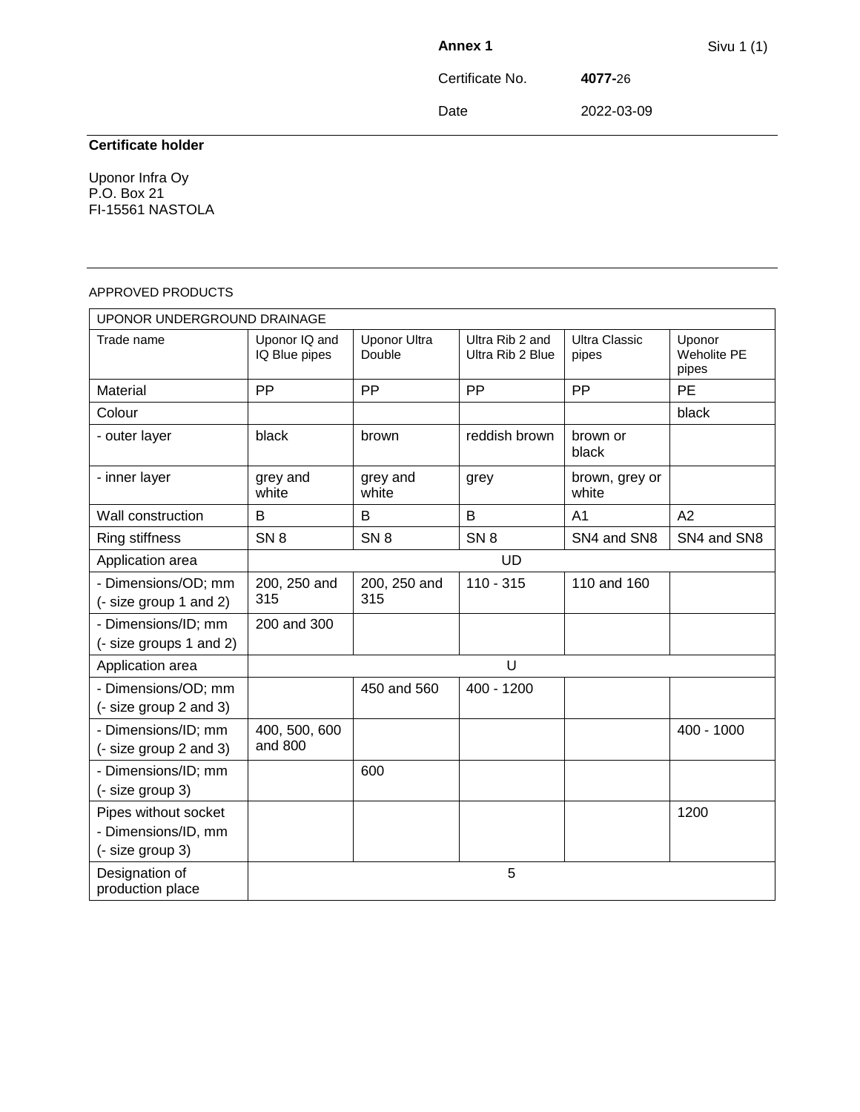Certificate No. **4077-**26

Date 2022-03-09

### **Certificate holder**

Uponor Infra Oy P.O. Box 21 FI-15561 NASTOLA

#### APPROVED PRODUCTS

| UPONOR UNDERGROUND DRAINAGE                                     |                                |                               |                                     |                               |                                       |
|-----------------------------------------------------------------|--------------------------------|-------------------------------|-------------------------------------|-------------------------------|---------------------------------------|
| Trade name                                                      | Uponor IQ and<br>IQ Blue pipes | <b>Uponor Ultra</b><br>Double | Ultra Rib 2 and<br>Ultra Rib 2 Blue | <b>Ultra Classic</b><br>pipes | Uponor<br><b>Weholite PE</b><br>pipes |
| Material                                                        | <b>PP</b>                      | PP                            | PP                                  | PP                            | <b>PE</b>                             |
| Colour                                                          |                                |                               |                                     |                               | black                                 |
| - outer layer                                                   | black                          | brown                         | reddish brown                       | brown or<br>black             |                                       |
| - inner layer                                                   | grey and<br>white              | grey and<br>white             | grey                                | brown, grey or<br>white       |                                       |
| Wall construction                                               | B                              | B                             | B                                   | A <sub>1</sub>                | A2                                    |
| Ring stiffness                                                  | SN <sub>8</sub>                | SN <sub>8</sub>               | SN <sub>8</sub>                     | SN4 and SN8                   | SN4 and SN8                           |
| Application area                                                |                                |                               | <b>UD</b>                           |                               |                                       |
| - Dimensions/OD; mm<br>(- size group 1 and 2)                   | 200, 250 and<br>315            | 200, 250 and<br>315           | $110 - 315$                         | 110 and 160                   |                                       |
| - Dimensions/ID; mm<br>(- size groups 1 and 2)                  | 200 and 300                    |                               |                                     |                               |                                       |
| Application area                                                |                                |                               | U                                   |                               |                                       |
| - Dimensions/OD; mm<br>(- size group 2 and 3)                   |                                | 450 and 560                   | 400 - 1200                          |                               |                                       |
| - Dimensions/ID; mm<br>(- size group 2 and 3)                   | 400, 500, 600<br>and 800       |                               |                                     |                               | 400 - 1000                            |
| - Dimensions/ID; mm<br>(- size group 3)                         |                                | 600                           |                                     |                               |                                       |
| Pipes without socket<br>- Dimensions/ID, mm<br>(- size group 3) |                                |                               |                                     |                               | 1200                                  |
| Designation of<br>production place                              |                                |                               | 5                                   |                               |                                       |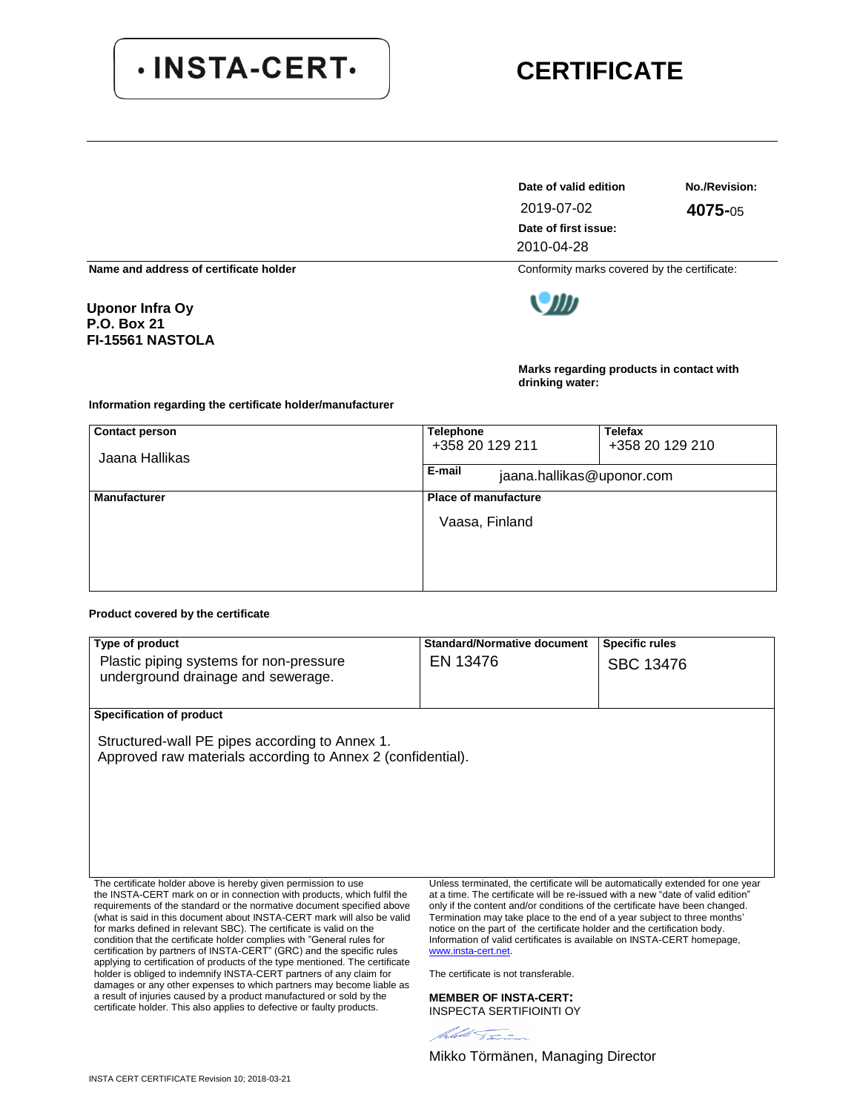# **CERTIFICATE**

**Date of valid edition No./Revision: Date of first issue:** 2019-07-02 **4075-**05 2010-04-28

**Name and address of certificate holder and address of certificate holder and address of certificate holder and conformity marks covered by the certificate:** 



**Marks regarding products in contact with drinking water:**

**Information regarding the certificate holder/manufacturer**

| <b>Contact person</b><br>Jaana Hallikas | <b>Telephone</b><br>+358 20 129 211 | <b>Telefax</b><br>+358 20 129 210 |
|-----------------------------------------|-------------------------------------|-----------------------------------|
|                                         | E-mail<br>jaana.hallikas@uponor.com |                                   |
| <b>Manufacturer</b>                     | <b>Place of manufacture</b>         |                                   |
|                                         | Vaasa, Finland                      |                                   |
|                                         |                                     |                                   |
|                                         |                                     |                                   |

#### **Product covered by the certificate**

| Type of product<br>Plastic piping systems for non-pressure<br>underground drainage and sewerage.              | <b>Standard/Normative document</b><br>EN 13476 | <b>Specific rules</b><br>SBC 13476 |
|---------------------------------------------------------------------------------------------------------------|------------------------------------------------|------------------------------------|
| <b>Specification of product</b>                                                                               |                                                |                                    |
| Structured-wall PE pipes according to Annex 1.<br>Approved raw materials according to Annex 2 (confidential). |                                                |                                    |
|                                                                                                               |                                                |                                    |
|                                                                                                               |                                                |                                    |
|                                                                                                               |                                                |                                    |

The certificate holder above is hereby given permission to use the INSTA-CERT mark on or in connection with products, which fulfil the requirements of the standard or the normative document specified above (what is said in this document about INSTA-CERT mark will also be valid for marks defined in relevant SBC). The certificate is valid on the condition that the certificate holder complies with "General rules for certification by partners of INSTA-CERT" (GRC) and the specific rules applying to certification of products of the type mentioned. The certificate holder is obliged to indemnify INSTA-CERT partners of any claim for damages or any other expenses to which partners may become liable as a result of injuries caused by a product manufactured or sold by the certificate holder. This also applies to defective or faulty products.

Unless terminated, the certificate will be automatically extended for one year at a time. The certificate will be re-issued with a new "date of valid edition" only if the content and/or conditions of the certificate have been changed. Termination may take place to the end of a year subject to three months' notice on the part of the certificate holder and the certification body. Information of valid certificates is available on INSTA-CERT homepage, [www.insta-cert.net.](http://www.insta-cert.net/) 

The certificate is not transferable.

**MEMBER OF INSTA-CERT:** INSPECTA SERTIFIOINTI OY

freet James

Mikko Törmänen, Managing Director

**Uponor Infra Oy**

**P.O. Box 21 FI-15561 NASTOLA**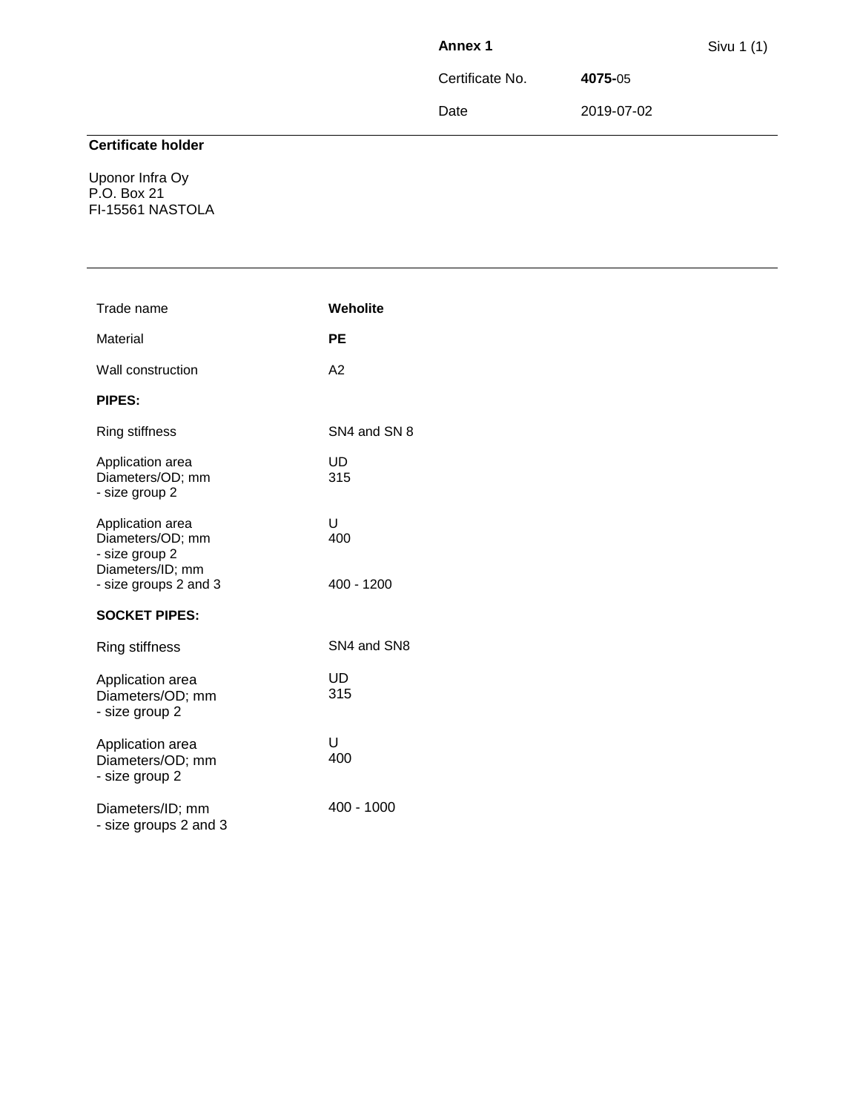**Annex 1** Sivu 1 (1) Certificate No. **4075-**05 Date 2019-07-02

### **Certificate holder**

Uponor Infra Oy P.O. Box 21 FI-15561 NASTOLA

| Trade name                                                                                          | Weholite               |
|-----------------------------------------------------------------------------------------------------|------------------------|
| Material                                                                                            | РE                     |
| Wall construction                                                                                   | A2                     |
| <b>PIPES:</b>                                                                                       |                        |
| Ring stiffness                                                                                      | SN4 and SN 8           |
| Application area<br>Diameters/OD; mm<br>- size group 2                                              | UD<br>315              |
| Application area<br>Diameters/OD; mm<br>- size group 2<br>Diameters/ID; mm<br>- size groups 2 and 3 | U<br>400<br>400 - 1200 |
| <b>SOCKET PIPES:</b>                                                                                |                        |
| Ring stiffness                                                                                      | SN4 and SN8            |
| Application area<br>Diameters/OD; mm<br>- size group 2                                              | UD<br>315              |
| Application area<br>Diameters/OD; mm<br>- size group 2                                              | U<br>400               |
| Diameters/ID; mm<br>- size groups 2 and 3                                                           | 400 - 1000             |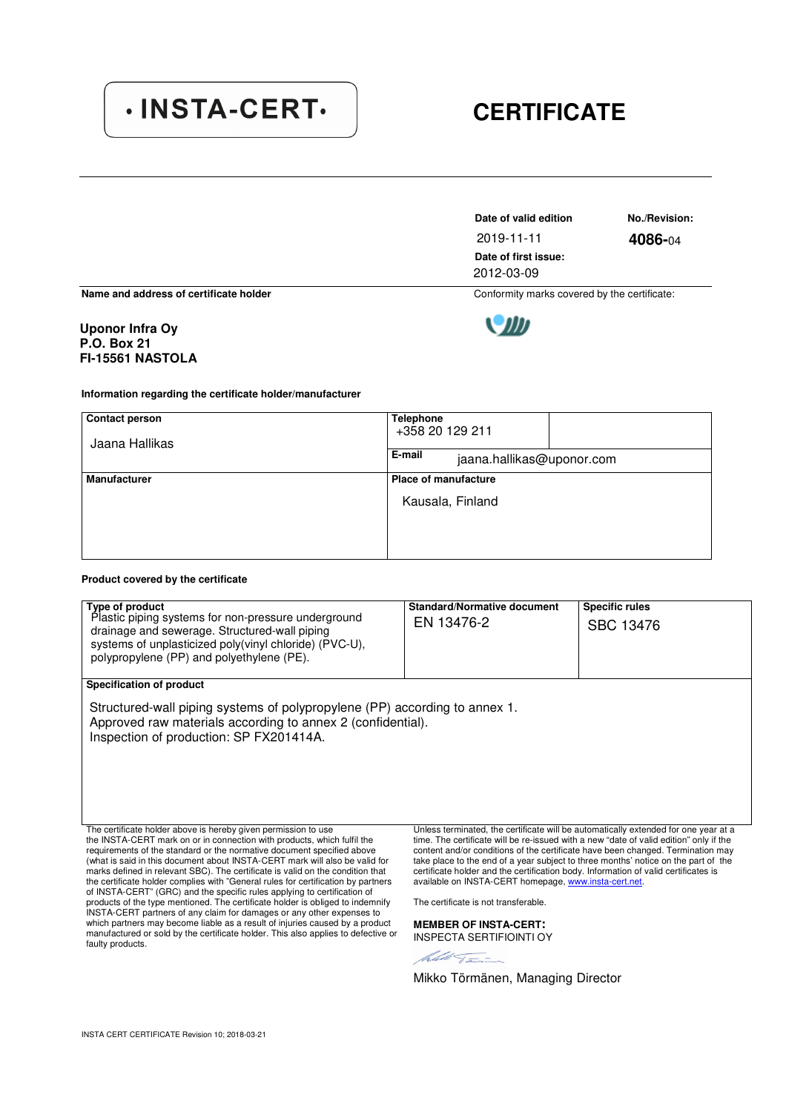# **CERTIFICATE**

Date of valid edition **No./Revision:** 2019-11-11 **Date of first issue:**  2012-03-09

2019-11-11 **4086-**04

**Uponor Infra Oy P.O. Box 21 FI-15561 NASTOLA** 

**Information regarding the certificate holder/manufacturer** 

| <b>Contact person</b><br>Jaana Hallikas | <b>Telephone</b><br>+358 20 129 211<br>E-mail<br>jaana.hallikas@uponor.com |
|-----------------------------------------|----------------------------------------------------------------------------|
| <b>Manufacturer</b>                     | <b>Place of manufacture</b>                                                |
|                                         | Kausala, Finland                                                           |
|                                         |                                                                            |
|                                         |                                                                            |

#### **Product covered by the certificate**

| Type of product                                                                                                                                                                                              | <b>Standard/Normative document</b> | <b>Specific rules</b>                                                                                                                                                         |
|--------------------------------------------------------------------------------------------------------------------------------------------------------------------------------------------------------------|------------------------------------|-------------------------------------------------------------------------------------------------------------------------------------------------------------------------------|
| Plastic piping systems for non-pressure underground<br>drainage and sewerage. Structured-wall piping<br>systems of unplasticized poly (vinyl chloride) (PVC-U),<br>polypropylene (PP) and polyethylene (PE). | EN 13476-2                         | <b>SBC 13476</b>                                                                                                                                                              |
| Specification of product                                                                                                                                                                                     |                                    |                                                                                                                                                                               |
| Structured-wall piping systems of polypropylene (PP) according to annex 1.<br>Approved raw materials according to annex 2 (confidential).<br>Inspection of production: SP FX201414A.                         |                                    |                                                                                                                                                                               |
| The certificate holder above is hereby given permission to use<br>the INSTA-CERT mark on or in connection with products, which fulfil the                                                                    |                                    | Unless terminated, the certificate will be automatically extended for one year at a<br>time. The certificate will be re-issued with a new "date of valid edition" only if the |

requirements of the standard or the normative document specified above (what is said in this document about INSTA-CERT mark will also be valid for marks defined in relevant SBC). The certificate is valid on the condition that the certificate holder complies with "General rules for certification by partners of INSTA-CERT" (GRC) and the specific rules applying to certification of products of the type mentioned. The certificate holder is obliged to indemnify<br>INSTA-CERT partners of any claim for damages or any other expenses to<br>which partners may become liable as a result of injuries caused by a prod manufactured or sold by the certificate holder. This also applies to defective or faulty products.

content and/or conditions of the certificate have been changed. Termination may take place to the end of a year subject to three months' notice on the part of the certificate holder and the certification body. Information of valid certificates is available on INSTA-CERT homepage, www.insta-cert.net

The certificate is not transferable.

**MEMBER OF INSTA-CERT:**  INSPECTA SERTIFIOINTI OY

held Town

Mikko Törmänen, Managing Director

**Name and address of certificate holder Conformity marks covered by the certificate:** 

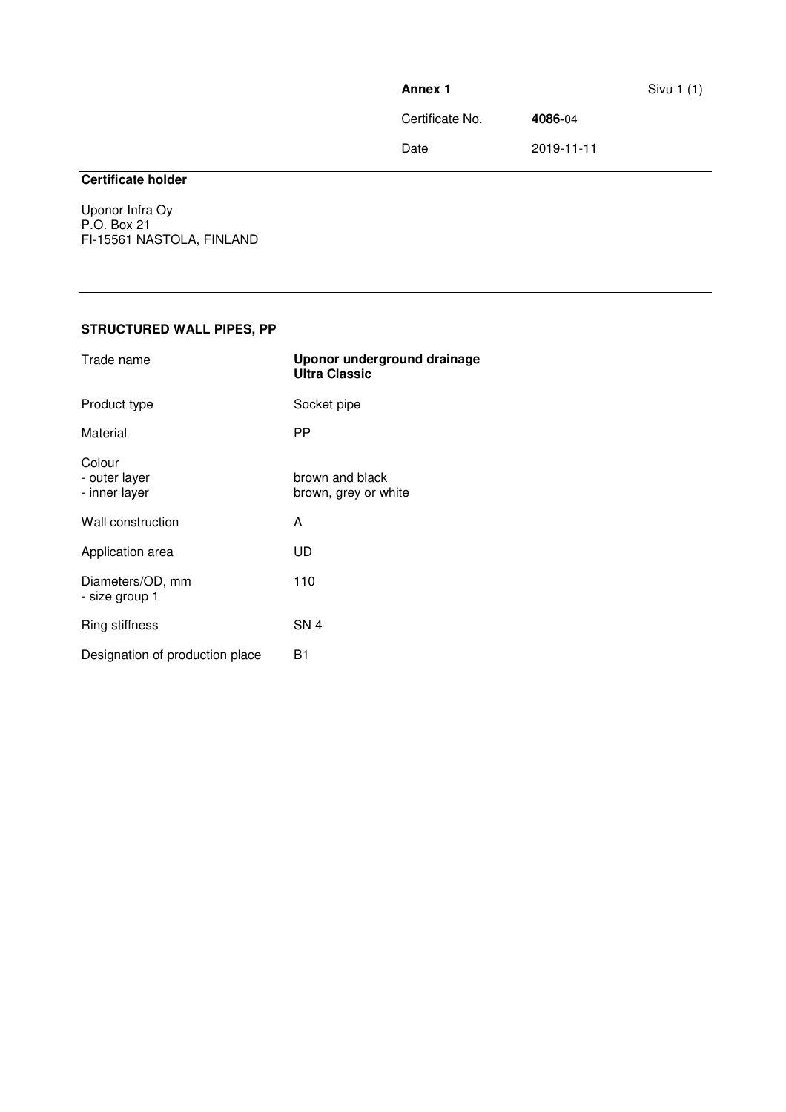**Annex 1** Sivu 1 (1) Certificate No. **4086-**04 Date 2019-11-11 **Certificate holder** 

Uponor Infra Oy P.O. Box 21 FI-15561 NASTOLA, FINLAND

### **STRUCTURED WALL PIPES, PP**

| Trade name                               | Uponor underground drainage<br><b>Ultra Classic</b> |
|------------------------------------------|-----------------------------------------------------|
| Product type                             | Socket pipe                                         |
| Material                                 | РP                                                  |
| Colour<br>- outer layer<br>- inner layer | brown and black<br>brown, grey or white             |
| Wall construction                        | A                                                   |
| Application area                         | UD                                                  |
| Diameters/OD, mm<br>- size group 1       | 110                                                 |
| Ring stiffness                           | SN 4                                                |
| Designation of production place          | Β1                                                  |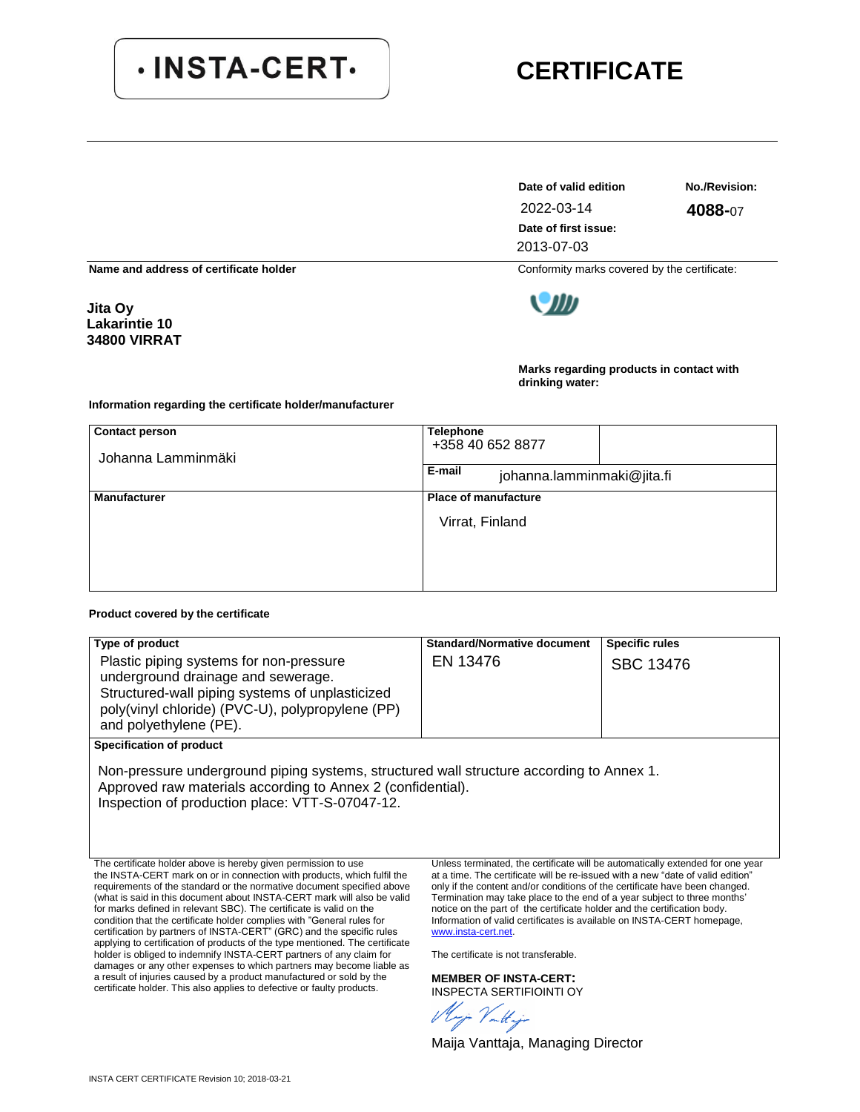# **CERTIFICATE**

**Date of valid edition No./Revision: Date of first issue:** 2022-03-14 **4088-**07 2013-07-03

**Name and address of certificate holder and address of certificate holder and address of certificate holder and conformity marks covered by the certificate:** 



**Marks regarding products in contact with drinking water:**

#### **Information regarding the certificate holder/manufacturer**

| <b>Contact person</b><br>Johanna Lamminmäki | <b>Telephone</b><br>+358 40 652 8877<br>E-mail<br>johanna.lamminmaki@jita.fi |  |  |
|---------------------------------------------|------------------------------------------------------------------------------|--|--|
| <b>Manufacturer</b>                         | <b>Place of manufacture</b><br>Virrat, Finland                               |  |  |

#### **Product covered by the certificate**

**Jita Oy Lakarintie 10 34800 VIRRAT**

| Type of product<br>Plastic piping systems for non-pressure<br>underground drainage and sewerage.<br>Structured-wall piping systems of unplasticized<br>poly(vinyl chloride) (PVC-U), polypropylene (PP)<br>and polyethylene (PE).<br>المتوارث والمستناف والمستنقذ والمعاون والمناهي المتناقص | <b>Standard/Normative document</b><br>EN 13476 | <b>Specific rules</b><br>SBC 13476 |
|----------------------------------------------------------------------------------------------------------------------------------------------------------------------------------------------------------------------------------------------------------------------------------------------|------------------------------------------------|------------------------------------|
|----------------------------------------------------------------------------------------------------------------------------------------------------------------------------------------------------------------------------------------------------------------------------------------------|------------------------------------------------|------------------------------------|

**Specification of product**

Non-pressure underground piping systems, structured wall structure according to Annex 1. Approved raw materials according to Annex 2 (confidential). Inspection of production place: VTT-S-07047-12.

The certificate holder above is hereby given permission to use the INSTA-CERT mark on or in connection with products, which fulfil the requirements of the standard or the normative document specified above (what is said in this document about INSTA-CERT mark will also be valid for marks defined in relevant SBC). The certificate is valid on the condition that the certificate holder complies with "General rules for certification by partners of INSTA-CERT" (GRC) and the specific rules applying to certification of products of the type mentioned. The certificate holder is obliged to indemnify INSTA-CERT partners of any claim for damages or any other expenses to which partners may become liable as a result of injuries caused by a product manufactured or sold by the certificate holder. This also applies to defective or faulty products.

Unless terminated, the certificate will be automatically extended for one year at a time. The certificate will be re-issued with a new "date of valid edition" only if the content and/or conditions of the certificate have been changed. Termination may take place to the end of a year subject to three months' notice on the part of the certificate holder and the certification body. Information of valid certificates is available on INSTA-CERT homepage, www.insta-cert.net

The certificate is not transferable.

**MEMBER OF INSTA-CERT:** INSPECTA SERTIFIOINTI OY

Majo Varthijo

Maija Vanttaja, Managing Director